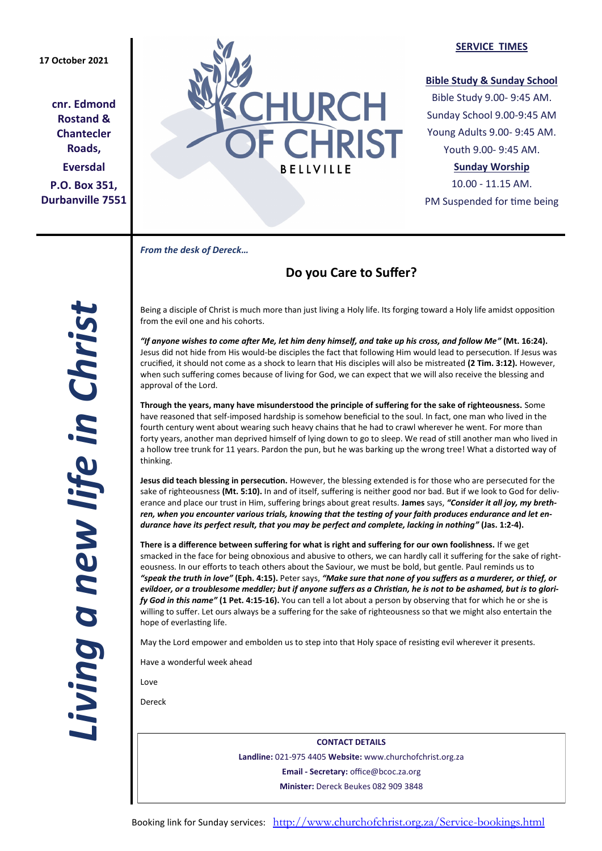## **17 October 2021**

**cnr. Edmond Rostand & Chantecler Roads, Eversdal P.O. Box 351, Durbanville 7551**



#### **SERVICE TIMES**

### **Bible Study & Sunday School**

Bible Study 9.00- 9:45 AM. Sunday School 9.00-9:45 AM Young Adults 9.00- 9:45 AM. Youth 9.00- 9:45 AM.

## **Sunday Worship**

10.00 - 11.15 AM. PM Suspended for time being

*From the desk of Dereck…* 

# **Do you Care to Suffer?**

*Living a new life in Christ*  iving a new life in Christ.

Being a disciple of Christ is much more than just living a Holy life. Its forging toward a Holy life amidst opposition from the evil one and his cohorts.

*"If anyone wishes to come after Me, let him deny himself, and take up his cross, and follow Me"* **(Mt. 16:24).** Jesus did not hide from His would-be disciples the fact that following Him would lead to persecution. If Jesus was crucified, it should not come as a shock to learn that His disciples will also be mistreated **(2 Tim. 3:12).** However, when such suffering comes because of living for God, we can expect that we will also receive the blessing and approval of the Lord.

**Through the years, many have misunderstood the principle of suffering for the sake of righteousness.** Some have reasoned that self-imposed hardship is somehow beneficial to the soul. In fact, one man who lived in the fourth century went about wearing such heavy chains that he had to crawl wherever he went. For more than forty years, another man deprived himself of lying down to go to sleep. We read of still another man who lived in a hollow tree trunk for 11 years. Pardon the pun, but he was barking up the wrong tree! What a distorted way of thinking.

**Jesus did teach blessing in persecution.** However, the blessing extended is for those who are persecuted for the sake of righteousness **(Mt. 5:10).** In and of itself, suffering is neither good nor bad. But if we look to God for deliverance and place our trust in Him, suffering brings about great results. **James** says, *"Consider it all joy, my brethren, when you encounter various trials, knowing that the testing of your faith produces endurance and let endurance have its perfect result, that you may be perfect and complete, lacking in nothing"* **(Jas. 1:2-4).**

**There is a difference between suffering for what is right and suffering for our own foolishness.** If we get smacked in the face for being obnoxious and abusive to others, we can hardly call it suffering for the sake of righteousness. In our efforts to teach others about the Saviour, we must be bold, but gentle. Paul reminds us to *"speak the truth in love"* **(Eph. 4:15).** Peter says, *"Make sure that none of you suffers as a murderer, or thief, or evildoer, or a troublesome meddler; but if anyone suffers as a Christian, he is not to be ashamed, but is to glorify God in this name"* **(1 Pet. 4:15-16).** You can tell a lot about a person by observing that for which he or she is willing to suffer. Let ours always be a suffering for the sake of righteousness so that we might also entertain the hope of everlasting life.

May the Lord empower and embolden us to step into that Holy space of resisting evil wherever it presents.

Have a wonderful week ahead

Love

Dereck

**CONTACT DETAILS Landline:** 021-975 4405 **Website:** www.churchofchrist.org.za **Email - Secretary:** office@bcoc.za.org **Minister:** Dereck Beukes 082 909 3848